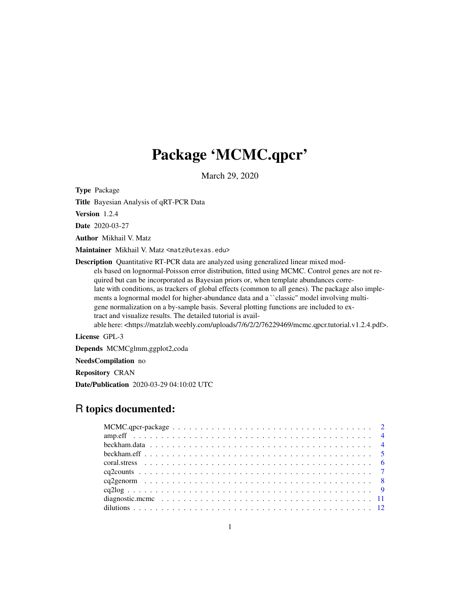# Package 'MCMC.qpcr'

March 29, 2020

Type Package

Title Bayesian Analysis of qRT-PCR Data

Version 1.2.4

Date 2020-03-27

Author Mikhail V. Matz

Maintainer Mikhail V. Matz <matz@utexas.edu>

Description Quantitative RT-PCR data are analyzed using generalized linear mixed models based on lognormal-Poisson error distribution, fitted using MCMC. Control genes are not required but can be incorporated as Bayesian priors or, when template abundances correlate with conditions, as trackers of global effects (common to all genes). The package also implements a lognormal model for higher-abundance data and a "classic" model involving multigene normalization on a by-sample basis. Several plotting functions are included to extract and visualize results. The detailed tutorial is available here: <https://matzlab.weebly.com/uploads/7/6/2/2/76229469/mcmc.qpcr.tutorial.v1.2.4.pdf>.

License GPL-3

Depends MCMCglmm,ggplot2,coda

NeedsCompilation no

Repository CRAN

Date/Publication 2020-03-29 04:10:02 UTC

# R topics documented: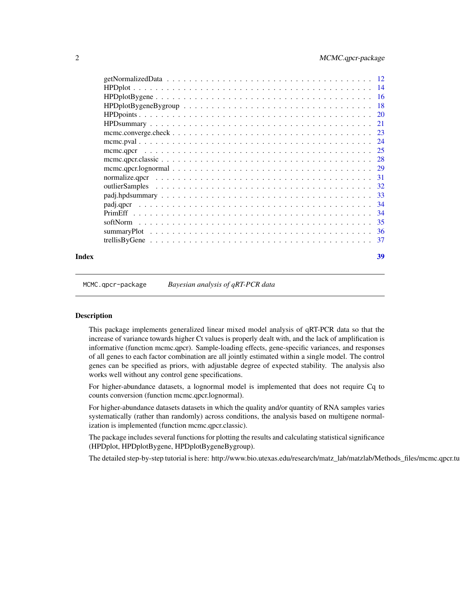<span id="page-1-0"></span>

| Index | 39 |
|-------|----|

MCMC.qpcr-package *Bayesian analysis of qRT-PCR data*

#### Description

This package implements generalized linear mixed model analysis of qRT-PCR data so that the increase of variance towards higher Ct values is properly dealt with, and the lack of amplification is informative (function mcmc.qpcr). Sample-loading effects, gene-specific variances, and responses of all genes to each factor combination are all jointly estimated within a single model. The control genes can be specified as priors, with adjustable degree of expected stability. The analysis also works well without any control gene specifications.

For higher-abundance datasets, a lognormal model is implemented that does not require Cq to counts conversion (function mcmc.qpcr.lognormal).

For higher-abundance datasets datasets in which the quality and/or quantity of RNA samples varies systematically (rather than randomly) across conditions, the analysis based on multigene normalization is implemented (function mcmc.qpcr.classic).

The package includes several functions for plotting the results and calculating statistical significance (HPDplot, HPDplotBygene, HPDplotBygeneBygroup).

The detailed step-by-step tutorial is here: http://www.bio.utexas.edu/research/matz\_lab/matzlab/Methods\_files/mcmc.qpcr.tu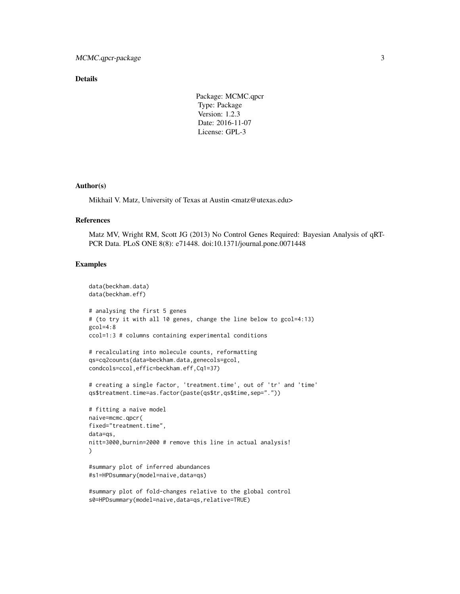### Details

Package: MCMC.qpcr Type: Package Version: 1.2.3 Date: 2016-11-07 License: GPL-3

#### Author(s)

Mikhail V. Matz, University of Texas at Austin <matz@utexas.edu>

#### References

Matz MV, Wright RM, Scott JG (2013) No Control Genes Required: Bayesian Analysis of qRT-PCR Data. PLoS ONE 8(8): e71448. doi:10.1371/journal.pone.0071448

# Examples

```
data(beckham.data)
data(beckham.eff)
# analysing the first 5 genes
# (to try it with all 10 genes, change the line below to gcol=4:13)
gcol=4:8
ccol=1:3 # columns containing experimental conditions
# recalculating into molecule counts, reformatting
qs=cq2counts(data=beckham.data,genecols=gcol,
condcols=ccol,effic=beckham.eff,Cq1=37)
# creating a single factor, 'treatment.time', out of 'tr' and 'time'
qs$treatment.time=as.factor(paste(qs$tr,qs$time,sep="."))
# fitting a naive model
naive=mcmc.qpcr(
fixed="treatment.time",
data=qs,
nitt=3000,burnin=2000 # remove this line in actual analysis!
)
#summary plot of inferred abundances
#s1=HPDsummary(model=naive,data=qs)
#summary plot of fold-changes relative to the global control
```

```
s0=HPDsummary(model=naive,data=qs,relative=TRUE)
```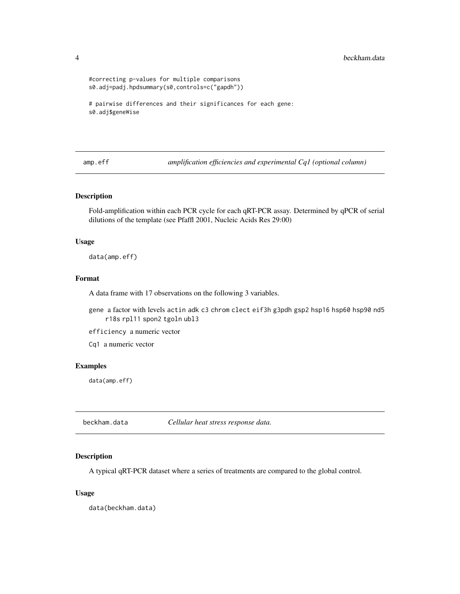```
#correcting p-values for multiple comparisons
s0.adj=padj.hpdsummary(s0,controls=c("gapdh"))
# pairwise differences and their significances for each gene:
s0.adj$geneWise
```
amp.eff *amplification efficiencies and experimental Cq1 (optional column)*

#### Description

Fold-amplification within each PCR cycle for each qRT-PCR assay. Determined by qPCR of serial dilutions of the template (see Pfaffl 2001, Nucleic Acids Res 29:00)

#### Usage

data(amp.eff)

#### Format

A data frame with 17 observations on the following 3 variables.

gene a factor with levels actin adk c3 chrom clect eif3h g3pdh gsp2 hsp16 hsp60 hsp90 nd5 r18s rpl11 spon2 tgoln ubl3

efficiency a numeric vector

Cq1 a numeric vector

#### Examples

data(amp.eff)

beckham.data *Cellular heat stress response data.*

#### Description

A typical qRT-PCR dataset where a series of treatments are compared to the global control.

#### Usage

data(beckham.data)

<span id="page-3-0"></span>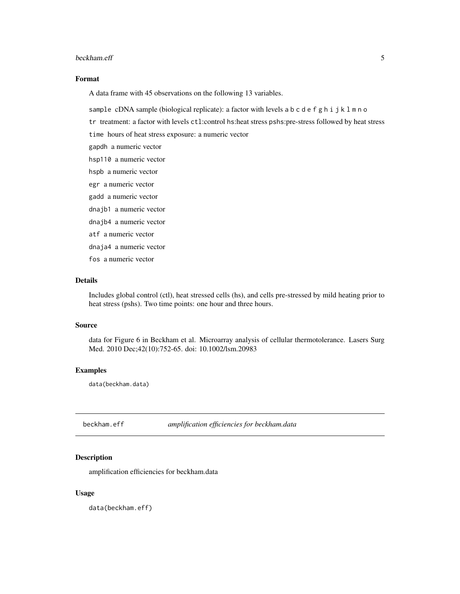#### <span id="page-4-0"></span>beckham.eff 5

# Format

A data frame with 45 observations on the following 13 variables.

sample cDNA sample (biological replicate): a factor with levels a b c d e f g h i j k l m n o

tr treatment: a factor with levels ctl:control hs:heat stress pshs:pre-stress followed by heat stress

time hours of heat stress exposure: a numeric vector

gapdh a numeric vector

- hsp110 a numeric vector
- hspb a numeric vector

egr a numeric vector

gadd a numeric vector

dnajb1 a numeric vector

dnajb4 a numeric vector

atf a numeric vector

dnaja4 a numeric vector

fos a numeric vector

#### Details

Includes global control (ctl), heat stressed cells (hs), and cells pre-stressed by mild heating prior to heat stress (pshs). Two time points: one hour and three hours.

# Source

data for Figure 6 in Beckham et al. Microarray analysis of cellular thermotolerance. Lasers Surg Med. 2010 Dec;42(10):752-65. doi: 10.1002/lsm.20983

#### Examples

data(beckham.data)

beckham.eff *amplification efficiencies for beckham.data*

# Description

amplification efficiencies for beckham.data

#### Usage

data(beckham.eff)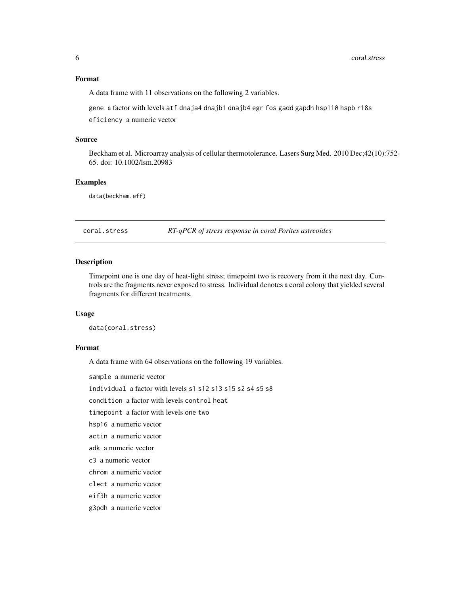# <span id="page-5-0"></span>Format

A data frame with 11 observations on the following 2 variables.

gene a factor with levels atf dnaja4 dnajb1 dnajb4 egr fos gadd gapdh hsp110 hspb r18s

eficiency a numeric vector

#### Source

Beckham et al. Microarray analysis of cellular thermotolerance. Lasers Surg Med. 2010 Dec;42(10):752- 65. doi: 10.1002/lsm.20983

# Examples

data(beckham.eff)

coral.stress *RT-qPCR of stress response in coral Porites astreoides*

# Description

Timepoint one is one day of heat-light stress; timepoint two is recovery from it the next day. Controls are the fragments never exposed to stress. Individual denotes a coral colony that yielded several fragments for different treatments.

#### Usage

data(coral.stress)

# Format

A data frame with 64 observations on the following 19 variables.

sample a numeric vector

individual a factor with levels s1 s12 s13 s15 s2 s4 s5 s8

condition a factor with levels control heat

timepoint a factor with levels one two

hsp16 a numeric vector

actin a numeric vector

adk a numeric vector

c3 a numeric vector

chrom a numeric vector

clect a numeric vector

eif3h a numeric vector

g3pdh a numeric vector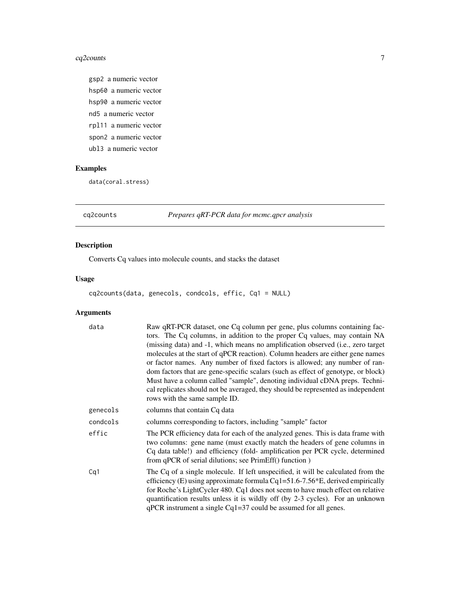# <span id="page-6-0"></span>cq2counts 7

gsp2 a numeric vector hsp60 a numeric vector hsp90 a numeric vector nd5 a numeric vector rpl11 a numeric vector spon2 a numeric vector ubl3 a numeric vector

# Examples

data(coral.stress)

cq2counts *Prepares qRT-PCR data for mcmc.qpcr analysis*

# Description

Converts Cq values into molecule counts, and stacks the dataset

# Usage

cq2counts(data, genecols, condcols, effic, Cq1 = NULL)

| data     | Raw qRT-PCR dataset, one Cq column per gene, plus columns containing fac-<br>tors. The Cq columns, in addition to the proper Cq values, may contain NA<br>(missing data) and -1, which means no amplification observed (i.e., zero target<br>molecules at the start of qPCR reaction). Column headers are either gene names<br>or factor names. Any number of fixed factors is allowed; any number of ran-<br>dom factors that are gene-specific scalars (such as effect of genotype, or block)<br>Must have a column called "sample", denoting individual cDNA preps. Techni-<br>cal replicates should not be averaged, they should be represented as independent<br>rows with the same sample ID. |
|----------|-----------------------------------------------------------------------------------------------------------------------------------------------------------------------------------------------------------------------------------------------------------------------------------------------------------------------------------------------------------------------------------------------------------------------------------------------------------------------------------------------------------------------------------------------------------------------------------------------------------------------------------------------------------------------------------------------------|
| genecols | columns that contain Cq data                                                                                                                                                                                                                                                                                                                                                                                                                                                                                                                                                                                                                                                                        |
| condcols | columns corresponding to factors, including "sample" factor                                                                                                                                                                                                                                                                                                                                                                                                                                                                                                                                                                                                                                         |
| effic    | The PCR efficiency data for each of the analyzed genes. This is data frame with<br>two columns: gene name (must exactly match the headers of gene columns in<br>Cq data table!) and efficiency (fold- amplification per PCR cycle, determined<br>from qPCR of serial dilutions; see PrimEff() function)                                                                                                                                                                                                                                                                                                                                                                                             |
| Cq1      | The Cq of a single molecule. If left unspecified, it will be calculated from the<br>efficiency (E) using approximate formula Cq1=51.6-7.56*E, derived empirically<br>for Roche's LightCycler 480. Cq1 does not seem to have much effect on relative<br>quantification results unless it is wildly off (by 2-3 cycles). For an unknown<br>$qPCR$ instrument a single $Cq1=37$ could be assumed for all genes.                                                                                                                                                                                                                                                                                        |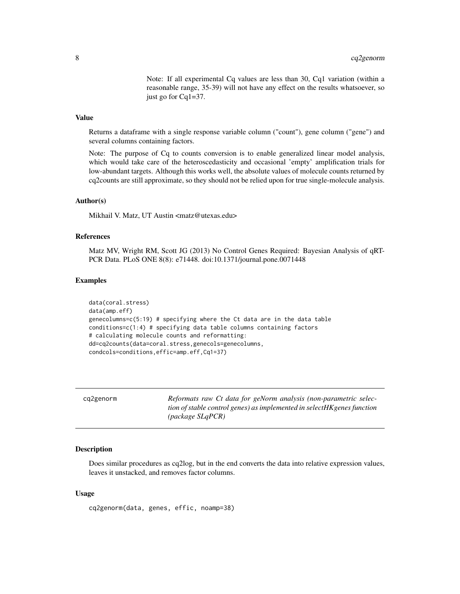Note: If all experimental Cq values are less than 30, Cq1 variation (within a reasonable range, 35-39) will not have any effect on the results whatsoever, so just go for Cq1=37.

# <span id="page-7-0"></span>Value

Returns a dataframe with a single response variable column ("count"), gene column ("gene") and several columns containing factors.

Note: The purpose of Cq to counts conversion is to enable generalized linear model analysis, which would take care of the heteroscedasticity and occasional 'empty' amplification trials for low-abundant targets. Although this works well, the absolute values of molecule counts returned by cq2counts are still approximate, so they should not be relied upon for true single-molecule analysis.

#### Author(s)

Mikhail V. Matz, UT Austin <matz@utexas.edu>

#### References

Matz MV, Wright RM, Scott JG (2013) No Control Genes Required: Bayesian Analysis of qRT-PCR Data. PLoS ONE 8(8): e71448. doi:10.1371/journal.pone.0071448

#### Examples

```
data(coral.stress)
data(amp.eff)
genecolumns=c(5:19) # specifying where the Ct data are in the data table
conditions=c(1:4) # specifying data table columns containing factors
# calculating molecule counts and reformatting:
dd=cq2counts(data=coral.stress,genecols=genecolumns,
condcols=conditions,effic=amp.eff,Cq1=37)
```

| Reformats raw Ct data for geNorm analysis (non-parametric selec-<br>cq2genorm<br>tion of stable control genes) as implemented in selectHKgenes function<br>$(\textit{package SlqPCR})$ |  |
|----------------------------------------------------------------------------------------------------------------------------------------------------------------------------------------|--|
|----------------------------------------------------------------------------------------------------------------------------------------------------------------------------------------|--|

#### Description

Does similar procedures as cq2log, but in the end converts the data into relative expression values, leaves it unstacked, and removes factor columns.

#### Usage

cq2genorm(data, genes, effic, noamp=38)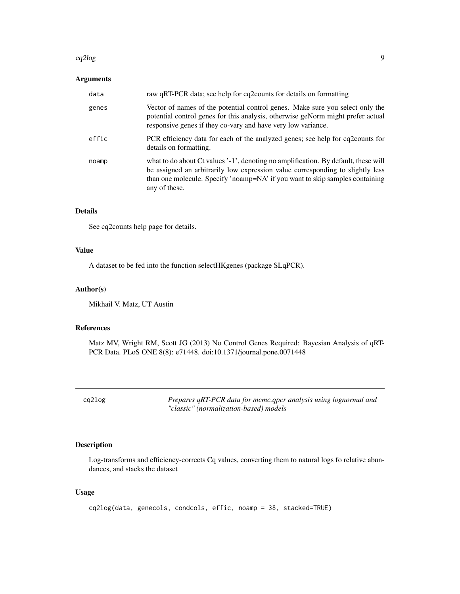#### <span id="page-8-0"></span>cq2log 9

# Arguments

| data  | raw qRT-PCR data; see help for cq2counts for details on formatting                                                                                                                                                                                                    |
|-------|-----------------------------------------------------------------------------------------------------------------------------------------------------------------------------------------------------------------------------------------------------------------------|
| genes | Vector of names of the potential control genes. Make sure you select only the<br>potential control genes for this analysis, otherwise geNorm might prefer actual<br>responsive genes if they co-vary and have very low variance.                                      |
| effic | PCR efficiency data for each of the analyzed genes; see help for cq2counts for<br>details on formatting.                                                                                                                                                              |
| noamp | what to do about Ct values '-1', denoting no amplification. By default, these will<br>be assigned an arbitrarily low expression value corresponding to slightly less<br>than one molecule. Specify 'noamp=NA' if you want to skip samples containing<br>any of these. |

# Details

See cq2counts help page for details.

# Value

A dataset to be fed into the function selectHKgenes (package SLqPCR).

# Author(s)

Mikhail V. Matz, UT Austin

# References

Matz MV, Wright RM, Scott JG (2013) No Control Genes Required: Bayesian Analysis of qRT-PCR Data. PLoS ONE 8(8): e71448. doi:10.1371/journal.pone.0071448

cq2log *Prepares qRT-PCR data for mcmc.qpcr analysis using lognormal and "classic" (normalization-based) models*

# Description

Log-transforms and efficiency-corrects Cq values, converting them to natural logs fo relative abundances, and stacks the dataset

#### Usage

```
cq2log(data, genecols, condcols, effic, noamp = 38, stacked=TRUE)
```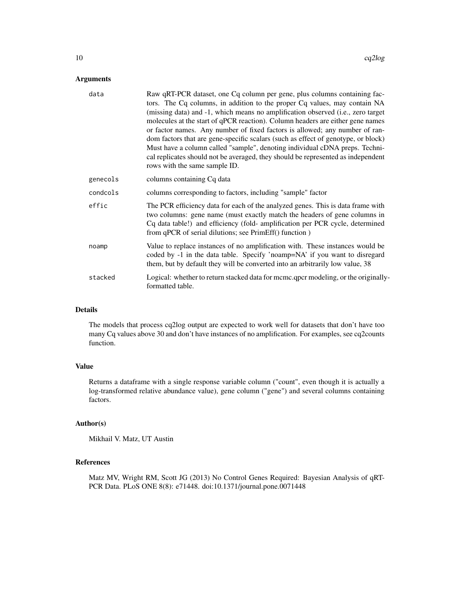# Arguments

| data     | Raw qRT-PCR dataset, one Cq column per gene, plus columns containing fac-<br>tors. The Cq columns, in addition to the proper Cq values, may contain NA<br>(missing data) and -1, which means no amplification observed (i.e., zero target<br>molecules at the start of qPCR reaction). Column headers are either gene names<br>or factor names. Any number of fixed factors is allowed; any number of ran-<br>dom factors that are gene-specific scalars (such as effect of genotype, or block)<br>Must have a column called "sample", denoting individual cDNA preps. Techni-<br>cal replicates should not be averaged, they should be represented as independent<br>rows with the same sample ID. |
|----------|-----------------------------------------------------------------------------------------------------------------------------------------------------------------------------------------------------------------------------------------------------------------------------------------------------------------------------------------------------------------------------------------------------------------------------------------------------------------------------------------------------------------------------------------------------------------------------------------------------------------------------------------------------------------------------------------------------|
| genecols | columns containing Cq data                                                                                                                                                                                                                                                                                                                                                                                                                                                                                                                                                                                                                                                                          |
| condcols | columns corresponding to factors, including "sample" factor                                                                                                                                                                                                                                                                                                                                                                                                                                                                                                                                                                                                                                         |
| effic    | The PCR efficiency data for each of the analyzed genes. This is data frame with<br>two columns: gene name (must exactly match the headers of gene columns in<br>Cq data table!) and efficiency (fold- amplification per PCR cycle, determined<br>from qPCR of serial dilutions; see PrimEff() function)                                                                                                                                                                                                                                                                                                                                                                                             |
| noamp    | Value to replace instances of no amplification with. These instances would be<br>coded by -1 in the data table. Specify 'noamp=NA' if you want to disregard<br>them, but by default they will be converted into an arbitrarily low value, 38                                                                                                                                                                                                                                                                                                                                                                                                                                                        |
| stacked  | Logical: whether to return stacked data for mcmc.qpcr modeling, or the originally-<br>formatted table.                                                                                                                                                                                                                                                                                                                                                                                                                                                                                                                                                                                              |

# Details

The models that process cq2log output are expected to work well for datasets that don't have too many Cq values above 30 and don't have instances of no amplification. For examples, see cq2counts function.

# Value

Returns a dataframe with a single response variable column ("count", even though it is actually a log-transformed relative abundance value), gene column ("gene") and several columns containing factors.

#### Author(s)

Mikhail V. Matz, UT Austin

# References

Matz MV, Wright RM, Scott JG (2013) No Control Genes Required: Bayesian Analysis of qRT-PCR Data. PLoS ONE 8(8): e71448. doi:10.1371/journal.pone.0071448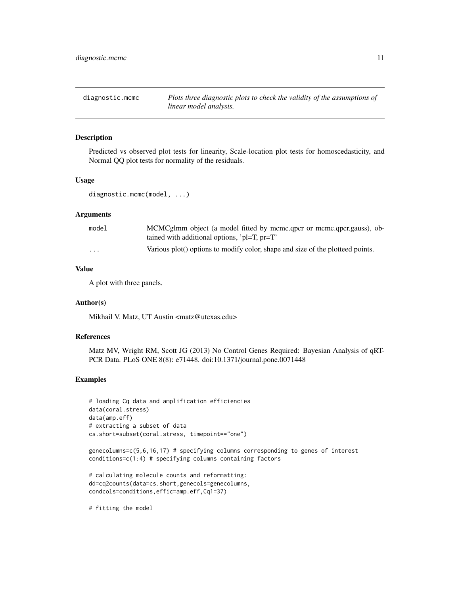<span id="page-10-0"></span>diagnostic.mcmc *Plots three diagnostic plots to check the validity of the assumptions of linear model analysis.*

# Description

Predicted vs observed plot tests for linearity, Scale-location plot tests for homoscedasticity, and Normal QQ plot tests for normality of the residuals.

#### Usage

diagnostic.mcmc(model, ...)

# Arguments

| model                   | MCMCglmm object (a model fitted by mcmc.gpcr or mcmc.gpcr.gauss), ob-          |
|-------------------------|--------------------------------------------------------------------------------|
|                         | tained with additional options, ' $pl=T$ , $pr=T$ '                            |
| $\cdot$ $\cdot$ $\cdot$ | Various plot() options to modify color, shape and size of the plotteed points. |

#### Value

A plot with three panels.

#### Author(s)

Mikhail V. Matz, UT Austin <matz@utexas.edu>

#### References

Matz MV, Wright RM, Scott JG (2013) No Control Genes Required: Bayesian Analysis of qRT-PCR Data. PLoS ONE 8(8): e71448. doi:10.1371/journal.pone.0071448

#### Examples

```
# loading Cq data and amplification efficiencies
data(coral.stress)
data(amp.eff)
# extracting a subset of data
cs.short=subset(coral.stress, timepoint=="one")
```
genecolumns=c(5,6,16,17) # specifying columns corresponding to genes of interest conditions=c(1:4) # specifying columns containing factors

```
# calculating molecule counts and reformatting:
dd=cq2counts(data=cs.short,genecols=genecolumns,
condcols=conditions,effic=amp.eff,Cq1=37)
```
# fitting the model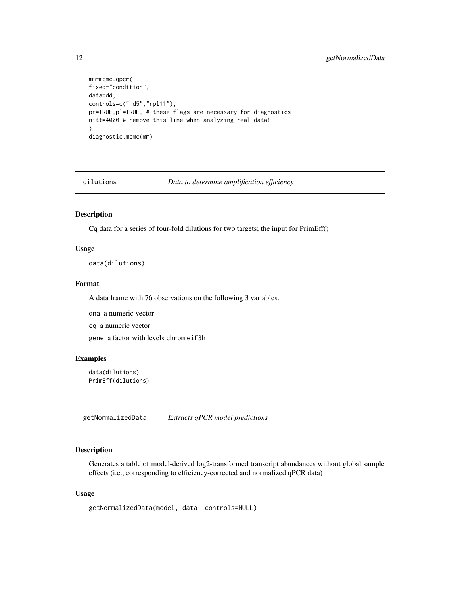```
mm=mcmc.qpcr(
fixed="condition",
data=dd,
controls=c("nd5","rpl11"),
pr=TRUE,pl=TRUE, # these flags are necessary for diagnostics
nitt=4000 # remove this line when analyzing real data!
\mathcal{L}diagnostic.mcmc(mm)
```
dilutions *Data to determine amplification efficiency*

# Description

Cq data for a series of four-fold dilutions for two targets; the input for PrimEff()

#### Usage

data(dilutions)

# Format

A data frame with 76 observations on the following 3 variables.

dna a numeric vector

cq a numeric vector

gene a factor with levels chrom eif3h

# Examples

```
data(dilutions)
PrimEff(dilutions)
```
getNormalizedData *Extracts qPCR model predictions*

# Description

Generates a table of model-derived log2-transformed transcript abundances without global sample effects (i.e., corresponding to efficiency-corrected and normalized qPCR data)

#### Usage

```
getNormalizedData(model, data, controls=NULL)
```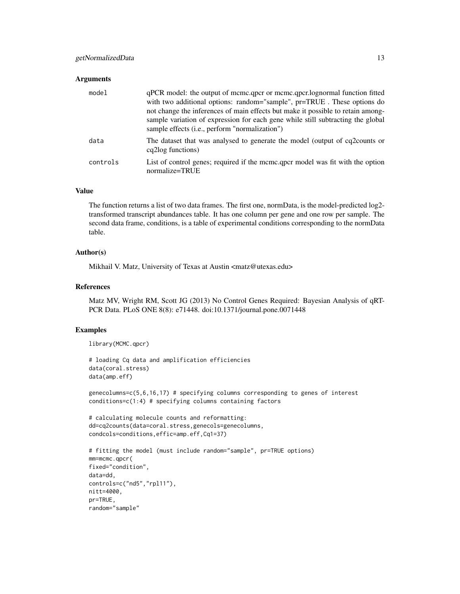#### **Arguments**

| model    | qPCR model: the output of mcmc.qpcr or mcmc.qpcr.lognormal function fitted<br>with two additional options: random="sample", pr=TRUE. These options do<br>not change the inferences of main effects but make it possible to retain among-<br>sample variation of expression for each gene while still subtracting the global<br>sample effects ( <i>i.e.</i> , perform "normalization") |
|----------|----------------------------------------------------------------------------------------------------------------------------------------------------------------------------------------------------------------------------------------------------------------------------------------------------------------------------------------------------------------------------------------|
| data     | The dataset that was analysed to generate the model (output of cq2counts or<br>cq2log functions)                                                                                                                                                                                                                                                                                       |
| controls | List of control genes; required if the mcmc.qpcr model was fit with the option<br>normalize=TRUE                                                                                                                                                                                                                                                                                       |

# Value

The function returns a list of two data frames. The first one, normData, is the model-predicted log2 transformed transcript abundances table. It has one column per gene and one row per sample. The second data frame, conditions, is a table of experimental conditions corresponding to the normData table.

#### Author(s)

Mikhail V. Matz, University of Texas at Austin <matz@utexas.edu>

#### References

Matz MV, Wright RM, Scott JG (2013) No Control Genes Required: Bayesian Analysis of qRT-PCR Data. PLoS ONE 8(8): e71448. doi:10.1371/journal.pone.0071448

#### Examples

```
library(MCMC.qpcr)
```

```
# loading Cq data and amplification efficiencies
data(coral.stress)
data(amp.eff)
```
genecolumns=c(5,6,16,17) # specifying columns corresponding to genes of interest conditions=c(1:4) # specifying columns containing factors

```
# calculating molecule counts and reformatting:
dd=cq2counts(data=coral.stress,genecols=genecolumns,
condcols=conditions,effic=amp.eff,Cq1=37)
```

```
# fitting the model (must include random="sample", pr=TRUE options)
mm=mcmc.qpcr(
fixed="condition",
data=dd,
controls=c("nd5","rpl11"),
nitt=4000,
pr=TRUE,
random="sample"
```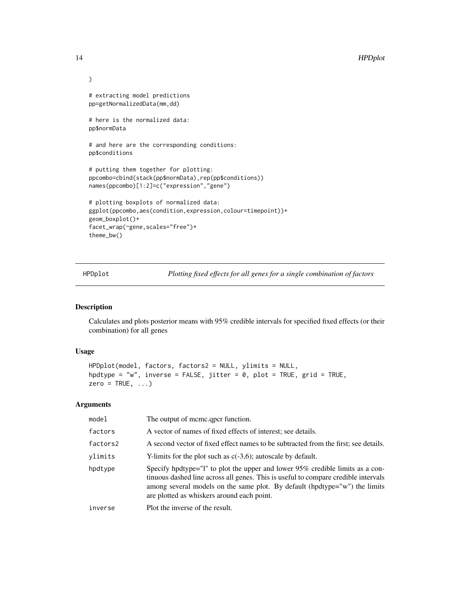```
)
# extracting model predictions
pp=getNormalizedData(mm,dd)
# here is the normalized data:
pp$normData
# and here are the corresponding conditions:
pp$conditions
# putting them together for plotting:
ppcombo=cbind(stack(pp$normData),rep(pp$conditions))
names(ppcombo)[1:2]=c("expression","gene")
# plotting boxplots of normalized data:
ggplot(ppcombo,aes(condition,expression,colour=timepoint))+
geom_boxplot()+
facet_wrap(~gene,scales="free")+
theme_bw()
```
HPDplot *Plotting fixed effects for all genes for a single combination of factors*

# Description

Calculates and plots posterior means with 95% credible intervals for specified fixed effects (or their combination) for all genes

# Usage

```
HPDplot(model, factors, factors2 = NULL, ylimits = NULL,
hpdtype = "w", inverse = FALSE, jitter = 0, plot = TRUE, grid = TRUE,
zero = TRUE, ...
```

| model    | The output of meme.gpcr function.                                                                                                                                                                                                                                                               |
|----------|-------------------------------------------------------------------------------------------------------------------------------------------------------------------------------------------------------------------------------------------------------------------------------------------------|
| factors  | A vector of names of fixed effects of interest; see details.                                                                                                                                                                                                                                    |
| factors2 | A second vector of fixed effect names to be subtracted from the first; see details.                                                                                                                                                                                                             |
| ylimits  | Y-limits for the plot such as $c(-3,6)$ ; autoscale by default.                                                                                                                                                                                                                                 |
| hpdtype  | Specify hpdtype="1" to plot the upper and lower 95% credible limits as a con-<br>tinuous dashed line across all genes. This is useful to compare credible intervals<br>among several models on the same plot. By default (hpdtype="w") the limits<br>are plotted as whiskers around each point. |
| inverse  | Plot the inverse of the result.                                                                                                                                                                                                                                                                 |
|          |                                                                                                                                                                                                                                                                                                 |

<span id="page-13-0"></span>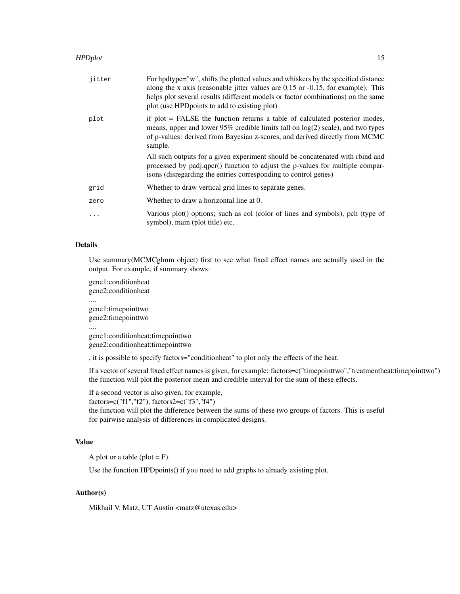# HPDplot that the state of the state of the state of the state of the state of the state of the state of the state of the state of the state of the state of the state of the state of the state of the state of the state of t

| jitter   | For hpdtype="w", shifts the plotted values and whiskers by the specified distance<br>along the x axis (reasonable jitter values are $0.15$ or $-0.15$ , for example). This<br>helps plot several results (different models or factor combinations) on the same<br>plot (use HPD points to add to existing plot) |
|----------|-----------------------------------------------------------------------------------------------------------------------------------------------------------------------------------------------------------------------------------------------------------------------------------------------------------------|
| plot     | if plot = FALSE the function returns a table of calculated posterior modes,<br>means, upper and lower $95\%$ credible limits (all on $log(2)$ scale), and two types<br>of p-values: derived from Bayesian z-scores, and derived directly from MCMC<br>sample.                                                   |
|          | All such outputs for a given experiment should be concatenated with rbind and<br>processed by padj.qpcr() function to adjust the p-values for multiple compar-<br>isons (disregarding the entries corresponding to control genes)                                                                               |
| grid     | Whether to draw vertical grid lines to separate genes.                                                                                                                                                                                                                                                          |
| zero     | Whether to draw a horizontal line at 0.                                                                                                                                                                                                                                                                         |
| $\ddots$ | Various plot() options; such as col (color of lines and symbols), pch (type of<br>symbol), main (plot title) etc.                                                                                                                                                                                               |

# Details

Use summary(MCMCglmm object) first to see what fixed effect names are actually used in the output. For example, if summary shows:

gene1:conditionheat gene2:conditionheat .... gene1:timepointtwo gene2:timepointtwo .... gene1:conditionheat:timepointtwo gene2:conditionheat:timepointtwo

, it is possible to specify factors="conditionheat" to plot only the effects of the heat.

If a vector of several fixed effect names is given, for example: factors=c("timepointtwo","treatmentheat:timepointtwo") the function will plot the posterior mean and credible interval for the sum of these effects.

If a second vector is also given, for example,

factors=c("f1","f2"), factors2=c("f3","f4")

the function will plot the difference between the sums of these two groups of factors. This is useful for pairwise analysis of differences in complicated designs.

# Value

A plot or a table (plot  $=$  F).

Use the function HPDpoints() if you need to add graphs to already existing plot.

# Author(s)

Mikhail V. Matz, UT Austin <matz@utexas.edu>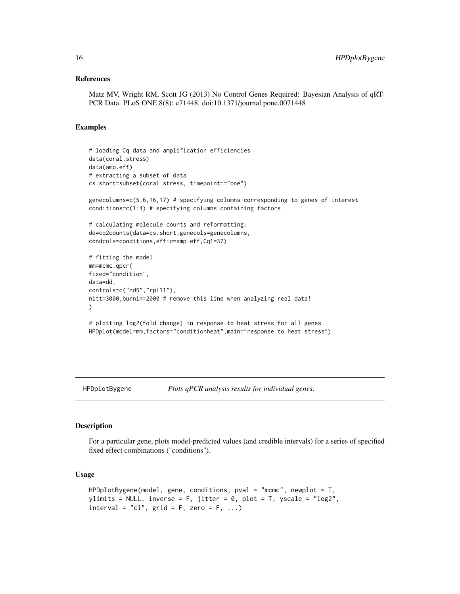#### <span id="page-15-0"></span>References

Matz MV, Wright RM, Scott JG (2013) No Control Genes Required: Bayesian Analysis of qRT-PCR Data. PLoS ONE 8(8): e71448. doi:10.1371/journal.pone.0071448

# Examples

```
# loading Cq data and amplification efficiencies
data(coral.stress)
data(amp.eff)
# extracting a subset of data
cs.short=subset(coral.stress, timepoint=="one")
genecolumns=c(5,6,16,17) # specifying columns corresponding to genes of interest
conditions=c(1:4) # specifying columns containing factors
# calculating molecule counts and reformatting:
dd=cq2counts(data=cs.short,genecols=genecolumns,
condcols=conditions,effic=amp.eff,Cq1=37)
# fitting the model
mm=mcmc.qpcr(
fixed="condition",
data=dd,
controls=c("nd5","rpl11"),
nitt=3000,burnin=2000 # remove this line when analyzing real data!
)
# plotting log2(fold change) in response to heat stress for all genes
HPDplot(model=mm,factors="conditionheat",main="response to heat stress")
```
HPDplotBygene *Plots qPCR analysis results for individual genes.*

#### Description

For a particular gene, plots model-predicted values (and credible intervals) for a series of specified fixed effect combinations ("conditions").

#### Usage

```
HPDplotBygene(model, gene, conditions, pval = "mcmc", newplot = T,
ylimits = NULL, inverse = F, jitter = 0, plot = T, yscale = "log2",
interval = "ci", grid = F, zero = F, ...)
```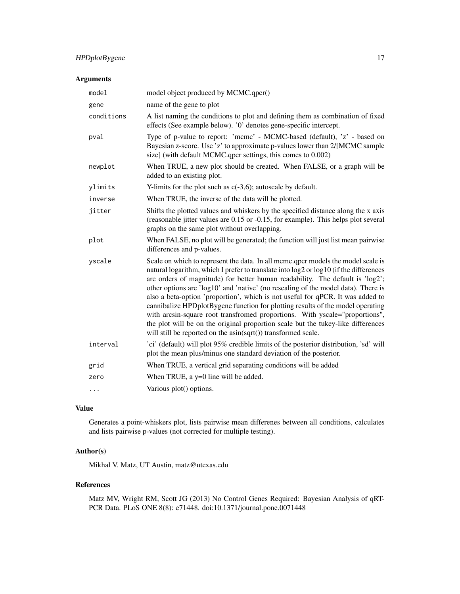# HPDplotBygene 17

# Arguments

| model      | model object produced by MCMC.qpcr()                                                                                                                                                                                                                                                                                                                                                                                                                                                                                                                                                                                                                                                                                                                    |
|------------|---------------------------------------------------------------------------------------------------------------------------------------------------------------------------------------------------------------------------------------------------------------------------------------------------------------------------------------------------------------------------------------------------------------------------------------------------------------------------------------------------------------------------------------------------------------------------------------------------------------------------------------------------------------------------------------------------------------------------------------------------------|
| gene       | name of the gene to plot                                                                                                                                                                                                                                                                                                                                                                                                                                                                                                                                                                                                                                                                                                                                |
| conditions | A list naming the conditions to plot and defining them as combination of fixed<br>effects (See example below). '0' denotes gene-specific intercept.                                                                                                                                                                                                                                                                                                                                                                                                                                                                                                                                                                                                     |
| pval       | Type of p-value to report: 'mcmc' - MCMC-based (default), 'z' - based on<br>Bayesian z-score. Use 'z' to approximate p-values lower than 2/[MCMC sample<br>size] (with default MCMC.qpcr settings, this comes to 0.002)                                                                                                                                                                                                                                                                                                                                                                                                                                                                                                                                 |
| newplot    | When TRUE, a new plot should be created. When FALSE, or a graph will be<br>added to an existing plot.                                                                                                                                                                                                                                                                                                                                                                                                                                                                                                                                                                                                                                                   |
| ylimits    | Y-limits for the plot such as $c(-3,6)$ ; autoscale by default.                                                                                                                                                                                                                                                                                                                                                                                                                                                                                                                                                                                                                                                                                         |
| inverse    | When TRUE, the inverse of the data will be plotted.                                                                                                                                                                                                                                                                                                                                                                                                                                                                                                                                                                                                                                                                                                     |
| jitter     | Shifts the plotted values and whiskers by the specified distance along the x axis<br>(reasonable jitter values are 0.15 or -0.15, for example). This helps plot several<br>graphs on the same plot without overlapping.                                                                                                                                                                                                                                                                                                                                                                                                                                                                                                                                 |
| plot       | When FALSE, no plot will be generated; the function will just list mean pairwise<br>differences and p-values.                                                                                                                                                                                                                                                                                                                                                                                                                                                                                                                                                                                                                                           |
| yscale     | Scale on which to represent the data. In all mcmc.qpcr models the model scale is<br>natural logarithm, which I prefer to translate into log2 or log10 (if the differences<br>are orders of magnitude) for better human readability. The default is 'log2';<br>other options are 'log10' and 'native' (no rescaling of the model data). There is<br>also a beta-option 'proportion', which is not useful for qPCR. It was added to<br>cannibalize HPDplotBygene function for plotting results of the model operating<br>with arcsin-square root transfromed proportions. With yscale="proportions",<br>the plot will be on the original proportion scale but the tukey-like differences<br>will still be reported on the asin(sqrt()) transformed scale. |
| interval   | 'ci' (default) will plot 95% credible limits of the posterior distribution, 'sd' will<br>plot the mean plus/minus one standard deviation of the posterior.                                                                                                                                                                                                                                                                                                                                                                                                                                                                                                                                                                                              |
| grid       | When TRUE, a vertical grid separating conditions will be added                                                                                                                                                                                                                                                                                                                                                                                                                                                                                                                                                                                                                                                                                          |
| zero       | When TRUE, a y=0 line will be added.                                                                                                                                                                                                                                                                                                                                                                                                                                                                                                                                                                                                                                                                                                                    |
| $\cdots$   | Various plot() options.                                                                                                                                                                                                                                                                                                                                                                                                                                                                                                                                                                                                                                                                                                                                 |

# Value

Generates a point-whiskers plot, lists pairwise mean differenes between all conditions, calculates and lists pairwise p-values (not corrected for multiple testing).

# Author(s)

Mikhal V. Matz, UT Austin, matz@utexas.edu

#### References

Matz MV, Wright RM, Scott JG (2013) No Control Genes Required: Bayesian Analysis of qRT-PCR Data. PLoS ONE 8(8): e71448. doi:10.1371/journal.pone.0071448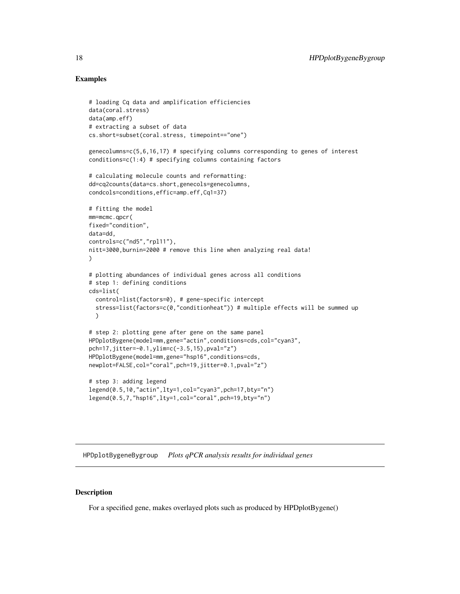### Examples

```
# loading Cq data and amplification efficiencies
data(coral.stress)
data(amp.eff)
# extracting a subset of data
cs.short=subset(coral.stress, timepoint=="one")
genecolumns=c(5,6,16,17) # specifying columns corresponding to genes of interest
conditions=c(1:4) # specifying columns containing factors
# calculating molecule counts and reformatting:
dd=cq2counts(data=cs.short,genecols=genecolumns,
condcols=conditions,effic=amp.eff,Cq1=37)
# fitting the model
mm=mcmc.qpcr(
fixed="condition",
data=dd,
controls=c("nd5","rpl11"),
nitt=3000,burnin=2000 # remove this line when analyzing real data!
)
# plotting abundances of individual genes across all conditions
# step 1: defining conditions
cds=list(
  control=list(factors=0), # gene-specific intercept
  stress=list(factors=c(0,"conditionheat")) # multiple effects will be summed up
  )
# step 2: plotting gene after gene on the same panel
HPDplotBygene(model=mm,gene="actin",conditions=cds,col="cyan3",
pch=17,jitter=-0.1,ylim=c(-3.5,15),pval="z")
HPDplotBygene(model=mm,gene="hsp16",conditions=cds,
newplot=FALSE,col="coral",pch=19,jitter=0.1,pval="z")
# step 3: adding legend
legend(0.5,10,"actin",lty=1,col="cyan3",pch=17,bty="n")
legend(0.5,7,"hsp16",lty=1,col="coral",pch=19,bty="n")
```
HPDplotBygeneBygroup *Plots qPCR analysis results for individual genes*

#### Description

For a specified gene, makes overlayed plots such as produced by HPDplotBygene()

<span id="page-17-0"></span>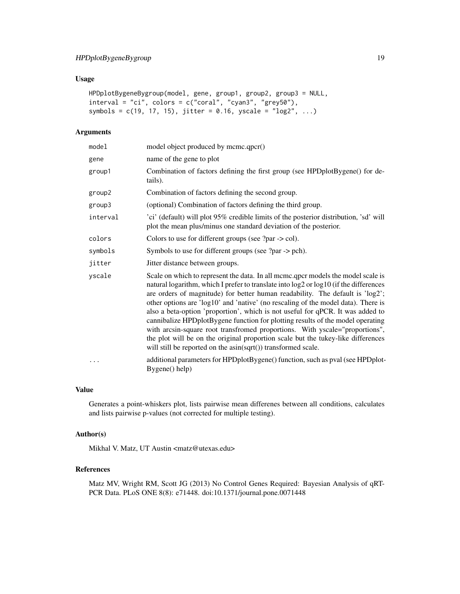# Usage

```
HPDplotBygeneBygroup(model, gene, group1, group2, group3 = NULL,
interval = "ci", colors = c("coral", "cyan3", "grey50"),
symbols = c(19, 17, 15), jitter = 0.16, yscale = "log2", ...)
```
# Arguments

| model    | model object produced by mcmc.qpcr()                                                                                                                                                                                                                                                                                                                                                                                                                                                                                                                                                                                                                                                                                                                    |
|----------|---------------------------------------------------------------------------------------------------------------------------------------------------------------------------------------------------------------------------------------------------------------------------------------------------------------------------------------------------------------------------------------------------------------------------------------------------------------------------------------------------------------------------------------------------------------------------------------------------------------------------------------------------------------------------------------------------------------------------------------------------------|
| gene     | name of the gene to plot                                                                                                                                                                                                                                                                                                                                                                                                                                                                                                                                                                                                                                                                                                                                |
| group1   | Combination of factors defining the first group (see HPDplotBygene() for de-<br>tails).                                                                                                                                                                                                                                                                                                                                                                                                                                                                                                                                                                                                                                                                 |
| group2   | Combination of factors defining the second group.                                                                                                                                                                                                                                                                                                                                                                                                                                                                                                                                                                                                                                                                                                       |
| group3   | (optional) Combination of factors defining the third group.                                                                                                                                                                                                                                                                                                                                                                                                                                                                                                                                                                                                                                                                                             |
| interval | 'ci' (default) will plot 95% credible limits of the posterior distribution, 'sd' will<br>plot the mean plus/minus one standard deviation of the posterior.                                                                                                                                                                                                                                                                                                                                                                                                                                                                                                                                                                                              |
| colors   | Colors to use for different groups (see $?par > col$ ).                                                                                                                                                                                                                                                                                                                                                                                                                                                                                                                                                                                                                                                                                                 |
| symbols  | Symbols to use for different groups (see ?par -> pch).                                                                                                                                                                                                                                                                                                                                                                                                                                                                                                                                                                                                                                                                                                  |
| jitter   | Jitter distance between groups.                                                                                                                                                                                                                                                                                                                                                                                                                                                                                                                                                                                                                                                                                                                         |
| yscale   | Scale on which to represent the data. In all mcmc.qpcr models the model scale is<br>natural logarithm, which I prefer to translate into log2 or log10 (if the differences<br>are orders of magnitude) for better human readability. The default is 'log2';<br>other options are 'log10' and 'native' (no rescaling of the model data). There is<br>also a beta-option 'proportion', which is not useful for qPCR. It was added to<br>cannibalize HPDplotBygene function for plotting results of the model operating<br>with arcsin-square root transfromed proportions. With yscale="proportions",<br>the plot will be on the original proportion scale but the tukey-like differences<br>will still be reported on the asin(sqrt()) transformed scale. |
| .        | additional parameters for HPDplotBygene() function, such as pval (see HPDplot-<br>Bygene() help)                                                                                                                                                                                                                                                                                                                                                                                                                                                                                                                                                                                                                                                        |

# Value

Generates a point-whiskers plot, lists pairwise mean differenes between all conditions, calculates and lists pairwise p-values (not corrected for multiple testing).

# Author(s)

Mikhal V. Matz, UT Austin <matz@utexas.edu>

# References

Matz MV, Wright RM, Scott JG (2013) No Control Genes Required: Bayesian Analysis of qRT-PCR Data. PLoS ONE 8(8): e71448. doi:10.1371/journal.pone.0071448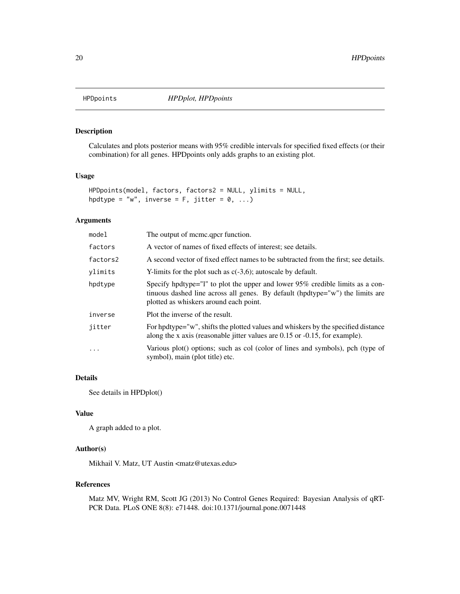<span id="page-19-0"></span>

# Description

Calculates and plots posterior means with 95% credible intervals for specified fixed effects (or their combination) for all genes. HPDpoints only adds graphs to an existing plot.

### Usage

```
HPDpoints(model, factors, factors2 = NULL, ylimits = NULL,
hpdtype = "w", inverse = F, jitter = \emptyset, ...)
```
# Arguments

| model    | The output of meme.gpcr function.                                                                                                                                                                        |
|----------|----------------------------------------------------------------------------------------------------------------------------------------------------------------------------------------------------------|
| factors  | A vector of names of fixed effects of interest; see details.                                                                                                                                             |
| factors2 | A second vector of fixed effect names to be subtracted from the first; see details.                                                                                                                      |
| vlimits  | Y-limits for the plot such as $c(-3,6)$ ; autoscale by default.                                                                                                                                          |
| hpdtype  | Specify hpdtype="1" to plot the upper and lower 95% credible limits as a con-<br>tinuous dashed line across all genes. By default (hpdtype="w") the limits are<br>plotted as whiskers around each point. |
| inverse  | Plot the inverse of the result.                                                                                                                                                                          |
| jitter   | For hpdtype="w", shifts the plotted values and whiskers by the specified distance<br>along the x axis (reasonable jitter values are $0.15$ or $-0.15$ , for example).                                    |
| $\ddots$ | Various plot() options; such as col (color of lines and symbols), pch (type of<br>symbol), main (plot title) etc.                                                                                        |

# Details

See details in HPDplot()

#### Value

A graph added to a plot.

# Author(s)

Mikhail V. Matz, UT Austin <matz@utexas.edu>

#### References

Matz MV, Wright RM, Scott JG (2013) No Control Genes Required: Bayesian Analysis of qRT-PCR Data. PLoS ONE 8(8): e71448. doi:10.1371/journal.pone.0071448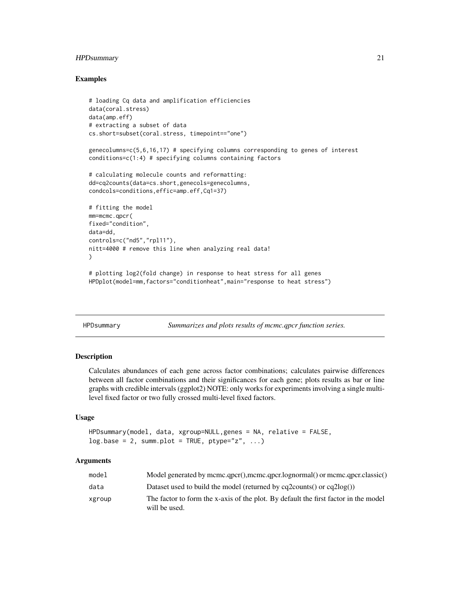# <span id="page-20-0"></span>HPDsummary 21

#### Examples

```
# loading Cq data and amplification efficiencies
data(coral.stress)
data(amp.eff)
# extracting a subset of data
cs.short=subset(coral.stress, timepoint=="one")
```
genecolumns=c(5,6,16,17) # specifying columns corresponding to genes of interest conditions=c(1:4) # specifying columns containing factors

```
# calculating molecule counts and reformatting:
dd=cq2counts(data=cs.short,genecols=genecolumns,
condcols=conditions,effic=amp.eff,Cq1=37)
```

```
# fitting the model
mm=mcmc.qpcr(
fixed="condition",
data=dd,
controls=c("nd5","rpl11"),
nitt=4000 # remove this line when analyzing real data!
)
```
# plotting log2(fold change) in response to heat stress for all genes HPDplot(model=mm,factors="conditionheat",main="response to heat stress")

| HPDsummary | Summarizes and plots results of mcmc.qpcr function series. |  |  |
|------------|------------------------------------------------------------|--|--|

#### Description

Calculates abundances of each gene across factor combinations; calculates pairwise differences between all factor combinations and their significances for each gene; plots results as bar or line graphs with credible intervals (ggplot2) NOTE: only works for experiments involving a single multilevel fixed factor or two fully crossed multi-level fixed factors.

#### Usage

```
HPDsummary(model, data, xgroup=NULL,genes = NA, relative = FALSE,
log base = 2, summ.plot = TRUE, ptype="z", ...)
```

| model  | Model generated by mcmc.qpcr(),mcmc.qpcr.lognormal() or mcmc.qpcr.classic()                          |
|--------|------------------------------------------------------------------------------------------------------|
| data   | Dataset used to build the model (returned by cq2counts() or $cq2log()$ )                             |
| xgroup | The factor to form the x-axis of the plot. By default the first factor in the model<br>will be used. |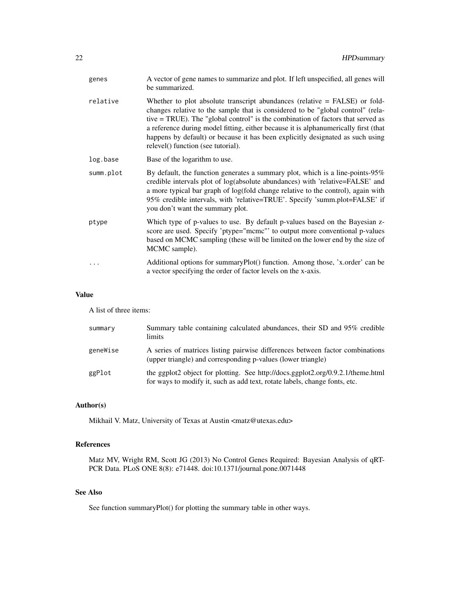| genes     | A vector of gene names to summarize and plot. If left unspecified, all genes will<br>be summarized.                                                                                                                                                                                                                                                                                                                                                               |
|-----------|-------------------------------------------------------------------------------------------------------------------------------------------------------------------------------------------------------------------------------------------------------------------------------------------------------------------------------------------------------------------------------------------------------------------------------------------------------------------|
| relative  | Whether to plot absolute transcript abundances (relative $=$ FALSE) or fold-<br>changes relative to the sample that is considered to be "global control" (rela-<br>tive = TRUE). The "global control" is the combination of factors that served as<br>a reference during model fitting, either because it is alphanumerically first (that<br>happens by default) or because it has been explicitly designated as such using<br>relevel() function (see tutorial). |
| log.base  | Base of the logarithm to use.                                                                                                                                                                                                                                                                                                                                                                                                                                     |
| summ.plot | By default, the function generates a summary plot, which is a line-points-95%<br>credible intervals plot of log(absolute abundances) with 'relative=FALSE' and<br>a more typical bar graph of log(fold change relative to the control), again with<br>95% credible intervals, with 'relative=TRUE'. Specify 'summ.plot=FALSE' if<br>you don't want the summary plot.                                                                                              |
| ptype     | Which type of p-values to use. By default p-values based on the Bayesian z-<br>score are used. Specify 'ptype="mcmc"' to output more conventional p-values<br>based on MCMC sampling (these will be limited on the lower end by the size of<br>MCMC sample).                                                                                                                                                                                                      |
| $\cdots$  | Additional options for summaryPlot() function. Among those, 'x.order' can be<br>a vector specifying the order of factor levels on the x-axis.                                                                                                                                                                                                                                                                                                                     |

#### Value

A list of three items:

| summary  | Summary table containing calculated abundances, their SD and 95% credible<br>limits                                                                           |
|----------|---------------------------------------------------------------------------------------------------------------------------------------------------------------|
| geneWise | A series of matrices listing pairwise differences between factor combinations<br>(upper triangle) and corresponding p-values (lower triangle)                 |
| ggPlot   | the ggplot2 object for plotting. See http://docs.ggplot2.org/0.9.2.1/theme.html<br>for ways to modify it, such as add text, rotate labels, change fonts, etc. |

# Author(s)

Mikhail V. Matz, University of Texas at Austin <matz@utexas.edu>

# References

Matz MV, Wright RM, Scott JG (2013) No Control Genes Required: Bayesian Analysis of qRT-PCR Data. PLoS ONE 8(8): e71448. doi:10.1371/journal.pone.0071448

# See Also

See function summaryPlot() for plotting the summary table in other ways.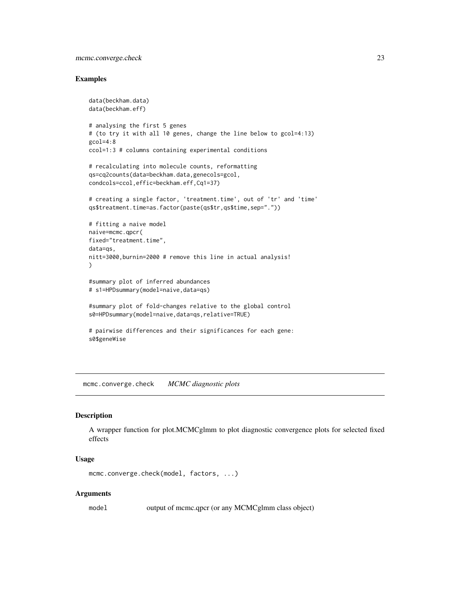# <span id="page-22-0"></span>mcmc.converge.check 23

#### Examples

```
data(beckham.data)
data(beckham.eff)
# analysing the first 5 genes
# (to try it with all 10 genes, change the line below to gcol=4:13)
gcd=4:8ccol=1:3 # columns containing experimental conditions
# recalculating into molecule counts, reformatting
qs=cq2counts(data=beckham.data,genecols=gcol,
condcols=ccol,effic=beckham.eff,Cq1=37)
# creating a single factor, 'treatment.time', out of 'tr' and 'time'
qs$treatment.time=as.factor(paste(qs$tr,qs$time,sep="."))
# fitting a naive model
naive=mcmc.qpcr(
fixed="treatment.time",
data=qs,
nitt=3000,burnin=2000 # remove this line in actual analysis!
)
#summary plot of inferred abundances
# s1=HPDsummary(model=naive,data=qs)
#summary plot of fold-changes relative to the global control
s0=HPDsummary(model=naive,data=qs,relative=TRUE)
# pairwise differences and their significances for each gene:
s0$geneWise
```
mcmc.converge.check *MCMC diagnostic plots*

#### Description

A wrapper function for plot.MCMCglmm to plot diagnostic convergence plots for selected fixed effects

#### Usage

```
mcmc.converge.check(model, factors, ...)
```
#### Arguments

model output of mcmc.qpcr (or any MCMCglmm class object)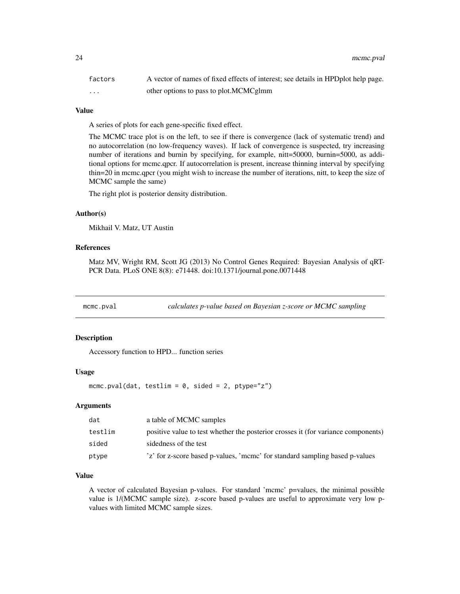<span id="page-23-0"></span>

| factors  | A vector of names of fixed effects of interest; see details in HPDplot help page. |
|----------|-----------------------------------------------------------------------------------|
| $\cdots$ | other options to pass to plot. MCMCglmm                                           |

#### Value

A series of plots for each gene-specific fixed effect.

The MCMC trace plot is on the left, to see if there is convergence (lack of systematic trend) and no autocorrelation (no low-frequency waves). If lack of convergence is suspected, try increasing number of iterations and burnin by specifying, for example, nitt=50000, burnin=5000, as additional options for mcmc.qpcr. If autocorrelation is present, increase thinning interval by specifying thin=20 in mcmc.qpcr (you might wish to increase the number of iterations, nitt, to keep the size of MCMC sample the same)

The right plot is posterior density distribution.

#### Author(s)

Mikhail V. Matz, UT Austin

# References

Matz MV, Wright RM, Scott JG (2013) No Control Genes Required: Bayesian Analysis of qRT-PCR Data. PLoS ONE 8(8): e71448. doi:10.1371/journal.pone.0071448

mcmc.pval *calculates p-value based on Bayesian z-score or MCMC sampling*

# Description

Accessory function to HPD... function series

#### Usage

mcmc.pval(dat, testlim =  $0$ , sided = 2, ptype="z")

#### Arguments

| dat     | a table of MCMC samples                                                           |
|---------|-----------------------------------------------------------------------------------|
| testlim | positive value to test whether the posterior crosses it (for variance components) |
| sided   | sidedness of the test                                                             |
| ptype   | 'z' for z-score based p-values, 'mcmc' for standard sampling based p-values       |

# Value

A vector of calculated Bayesian p-values. For standard 'mcmc' p=values, the minimal possible value is 1/(MCMC sample size). z-score based p-values are useful to approximate very low pvalues with limited MCMC sample sizes.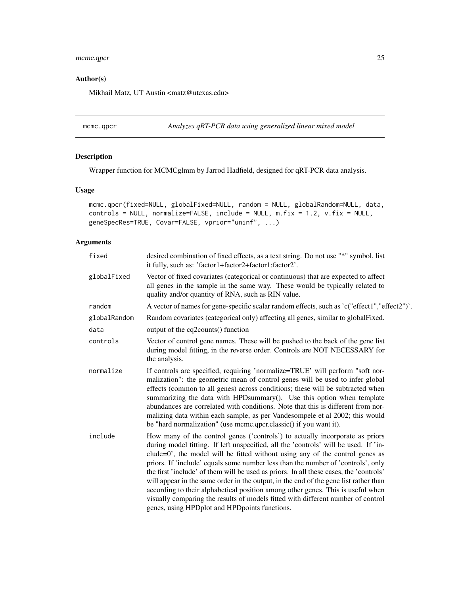# <span id="page-24-0"></span>mcmc.qpcr 25

# Author(s)

Mikhail Matz, UT Austin <matz@utexas.edu>

mcmc.qpcr *Analyzes qRT-PCR data using generalized linear mixed model*

# Description

Wrapper function for MCMCglmm by Jarrod Hadfield, designed for qRT-PCR data analysis.

### Usage

```
mcmc.qpcr(fixed=NULL, globalFixed=NULL, random = NULL, globalRandom=NULL, data,
controls = NULL, normalize=FALSE, include = NULL, m.fix = 1.2, v.fix = NULL,
geneSpecRes=TRUE, Covar=FALSE, vprior="uninf", ...)
```

| fixed        | desired combination of fixed effects, as a text string. Do not use "*" symbol, list<br>it fully, such as: 'factor1+factor2+factor1:factor2'.                                                                                                                                                                                                                                                                                                                                                                                                                                                                                                                                                                                                      |
|--------------|---------------------------------------------------------------------------------------------------------------------------------------------------------------------------------------------------------------------------------------------------------------------------------------------------------------------------------------------------------------------------------------------------------------------------------------------------------------------------------------------------------------------------------------------------------------------------------------------------------------------------------------------------------------------------------------------------------------------------------------------------|
| globalFixed  | Vector of fixed covariates (categorical or continuous) that are expected to affect<br>all genes in the sample in the same way. These would be typically related to<br>quality and/or quantity of RNA, such as RIN value.                                                                                                                                                                                                                                                                                                                                                                                                                                                                                                                          |
| random       | A vector of names for gene-specific scalar random effects, such as 'c("effect1","effect2")'.                                                                                                                                                                                                                                                                                                                                                                                                                                                                                                                                                                                                                                                      |
| globalRandom | Random covariates (categorical only) affecting all genes, similar to global Fixed.                                                                                                                                                                                                                                                                                                                                                                                                                                                                                                                                                                                                                                                                |
| data         | output of the cq2counts() function                                                                                                                                                                                                                                                                                                                                                                                                                                                                                                                                                                                                                                                                                                                |
| controls     | Vector of control gene names. These will be pushed to the back of the gene list<br>during model fitting, in the reverse order. Controls are NOT NECESSARY for<br>the analysis.                                                                                                                                                                                                                                                                                                                                                                                                                                                                                                                                                                    |
| normalize    | If controls are specified, requiring 'normalize=TRUE' will perform "soft nor-<br>malization": the geometric mean of control genes will be used to infer global<br>effects (common to all genes) across conditions; these will be subtracted when<br>summarizing the data with HPDsummary(). Use this option when template<br>abundances are correlated with conditions. Note that this is different from nor-<br>malizing data within each sample, as per Vandesompele et al 2002; this would<br>be "hard normalization" (use mcmc.qpcr.classic() if you want it).                                                                                                                                                                                |
| include      | How many of the control genes ('controls') to actually incorporate as priors<br>during model fitting. If left unspecified, all the 'controls' will be used. If 'in-<br>clude=0', the model will be fitted without using any of the control genes as<br>priors. If 'include' equals some number less than the number of 'controls', only<br>the first 'include' of them will be used as priors. In all these cases, the 'controls'<br>will appear in the same order in the output, in the end of the gene list rather than<br>according to their alphabetical position among other genes. This is useful when<br>visually comparing the results of models fitted with different number of control<br>genes, using HPDplot and HPDpoints functions. |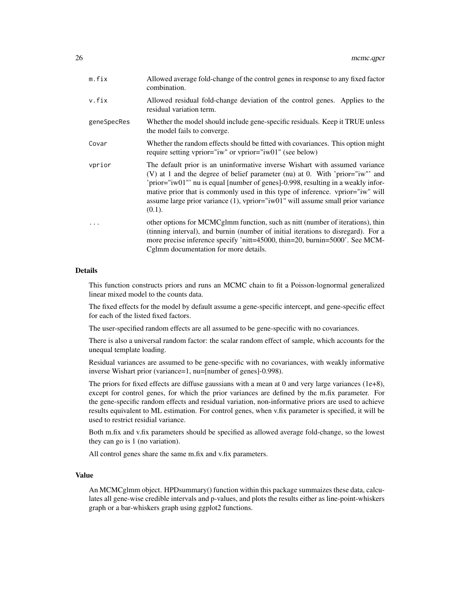| m.fix       | Allowed average fold-change of the control genes in response to any fixed factor<br>combination.                                                                                                                                                                                                                                                                                                                                    |
|-------------|-------------------------------------------------------------------------------------------------------------------------------------------------------------------------------------------------------------------------------------------------------------------------------------------------------------------------------------------------------------------------------------------------------------------------------------|
| v.fix       | Allowed residual fold-change deviation of the control genes. Applies to the<br>residual variation term.                                                                                                                                                                                                                                                                                                                             |
| geneSpecRes | Whether the model should include gene-specific residuals. Keep it TRUE unless<br>the model fails to converge.                                                                                                                                                                                                                                                                                                                       |
| Covar       | Whether the random effects should be fitted with covariances. This option might<br>require setting vprior="iw" or vprior="iw01" (see below)                                                                                                                                                                                                                                                                                         |
| vprior      | The default prior is an uninformative inverse Wishart with assumed variance<br>(V) at 1 and the degree of belief parameter (nu) at 0. With 'prior="iw" and<br>'prior="iw01"' nu is equal [number of genes]-0.998, resulting in a weakly infor-<br>mative prior that is commonly used in this type of inference. vprior="iw" will<br>assume large prior variance $(1)$ , vprior="iw01" will assume small prior variance<br>$(0.1)$ . |
| .           | other options for MCMCglmm function, such as nitt (number of iterations), thin<br>(tinning interval), and burnin (number of initial iterations to disregard). For a<br>more precise inference specify 'nitt=45000, thin=20, burnin=5000'. See MCM-<br>Cglmm documentation for more details.                                                                                                                                         |

#### Details

This function constructs priors and runs an MCMC chain to fit a Poisson-lognormal generalized linear mixed model to the counts data.

The fixed effects for the model by default assume a gene-specific intercept, and gene-specific effect for each of the listed fixed factors.

The user-specified random effects are all assumed to be gene-specific with no covariances.

There is also a universal random factor: the scalar random effect of sample, which accounts for the unequal template loading.

Residual variances are assumed to be gene-specific with no covariances, with weakly informative inverse Wishart prior (variance=1, nu=[number of genes]-0.998).

The priors for fixed effects are diffuse gaussians with a mean at 0 and very large variances  $(1e+8)$ , except for control genes, for which the prior variances are defined by the m.fix parameter. For the gene-specific random effects and residual variation, non-informative priors are used to achieve results equivalent to ML estimation. For control genes, when v.fix parameter is specified, it will be used to restrict residial variance.

Both m.fix and v.fix parameters should be specified as allowed average fold-change, so the lowest they can go is 1 (no variation).

All control genes share the same m.fix and v.fix parameters.

#### Value

An MCMCglmm object. HPDsummary() function within this package summaizes these data, calculates all gene-wise credible intervals and p-values, and plots the results either as line-point-whiskers graph or a bar-whiskers graph using ggplot2 functions.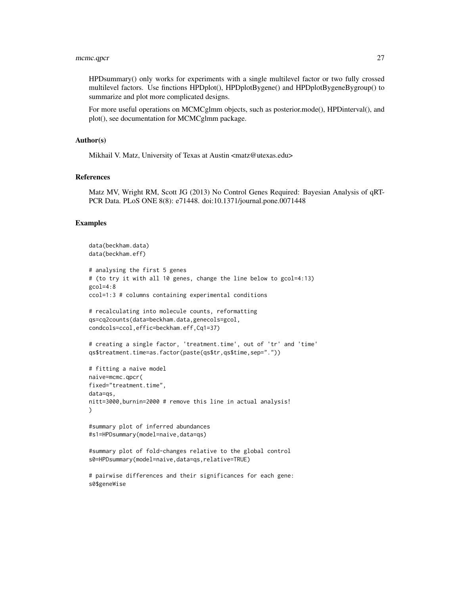#### mcmc.qpcr 27

HPDsummary() only works for experiments with a single multilevel factor or two fully crossed multilevel factors. Use finctions HPDplot(), HPDplotBygene() and HPDplotBygeneBygroup() to summarize and plot more complicated designs.

For more useful operations on MCMCglmm objects, such as posterior.mode(), HPDinterval(), and plot(), see documentation for MCMCglmm package.

### Author(s)

Mikhail V. Matz, University of Texas at Austin <matz@utexas.edu>

#### References

Matz MV, Wright RM, Scott JG (2013) No Control Genes Required: Bayesian Analysis of qRT-PCR Data. PLoS ONE 8(8): e71448. doi:10.1371/journal.pone.0071448

#### Examples

```
data(beckham.data)
data(beckham.eff)
# analysing the first 5 genes
# (to try it with all 10 genes, change the line below to gcol=4:13)
gcol=4:8
ccol=1:3 # columns containing experimental conditions
# recalculating into molecule counts, reformatting
qs=cq2counts(data=beckham.data,genecols=gcol,
condcols=ccol,effic=beckham.eff,Cq1=37)
# creating a single factor, 'treatment.time', out of 'tr' and 'time'
qs$treatment.time=as.factor(paste(qs$tr,qs$time,sep="."))
# fitting a naive model
naive=mcmc.qpcr(
fixed="treatment.time",
data=qs,
nitt=3000,burnin=2000 # remove this line in actual analysis!
)
#summary plot of inferred abundances
#s1=HPDsummary(model=naive,data=qs)
#summary plot of fold-changes relative to the global control
s0=HPDsummary(model=naive,data=qs,relative=TRUE)
```
# pairwise differences and their significances for each gene: s0\$geneWise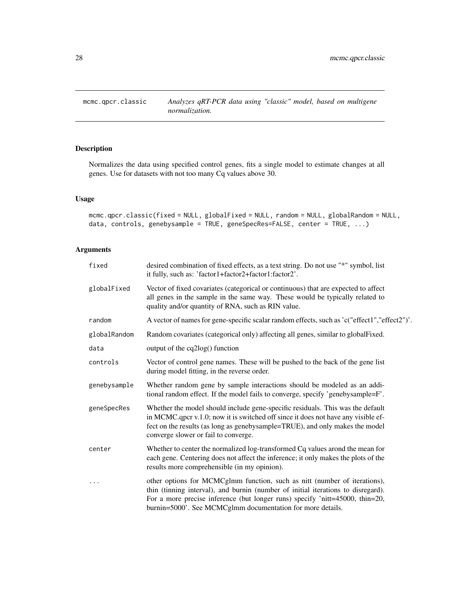<span id="page-27-0"></span>

# Description

Normalizes the data using specified control genes, fits a single model to estimate changes at all genes. Use for datasets with not too many Cq values above 30.

# Usage

```
mcmc.qpcr.classic(fixed = NULL, globalFixed = NULL, random = NULL, globalRandom = NULL,
data, controls, genebysample = TRUE, geneSpecRes=FALSE, center = TRUE, ...)
```

| fixed        | desired combination of fixed effects, as a text string. Do not use "*" symbol, list<br>it fully, such as: 'factor1+factor2+factor1:factor2'.                                                                                                                                                                |
|--------------|-------------------------------------------------------------------------------------------------------------------------------------------------------------------------------------------------------------------------------------------------------------------------------------------------------------|
| globalFixed  | Vector of fixed covariates (categorical or continuous) that are expected to affect<br>all genes in the sample in the same way. These would be typically related to<br>quality and/or quantity of RNA, such as RIN value.                                                                                    |
| random       | A vector of names for gene-specific scalar random effects, such as 'c("effect1","effect2")'.                                                                                                                                                                                                                |
| globalRandom | Random covariates (categorical only) affecting all genes, similar to globalFixed.                                                                                                                                                                                                                           |
| data         | output of the cq2log() function                                                                                                                                                                                                                                                                             |
| controls     | Vector of control gene names. These will be pushed to the back of the gene list<br>during model fitting, in the reverse order.                                                                                                                                                                              |
| genebysample | Whether random gene by sample interactions should be modeled as an addi-<br>tional random effect. If the model fails to converge, specify 'genebysample=F'.                                                                                                                                                 |
| geneSpecRes  | Whether the model should include gene-specific residuals. This was the default<br>in MCMC.qpcr v.1.0; now it is switched off since it does not have any visible ef-<br>fect on the results (as long as genebysample=TRUE), and only makes the model<br>converge slower or fail to converge.                 |
| center       | Whether to center the normalized log-transformed Cq values arond the mean for<br>each gene. Centering does not affect the inference; it only makes the plots of the<br>results more comprehensible (in my opinion).                                                                                         |
|              | other options for MCMCglmm function, such as nitt (number of iterations),<br>thin (tinning interval), and burnin (number of initial iterations to disregard).<br>For a more precise inference (but longer runs) specify 'nitt=45000, thin=20,<br>burnin=5000'. See MCMCglmm documentation for more details. |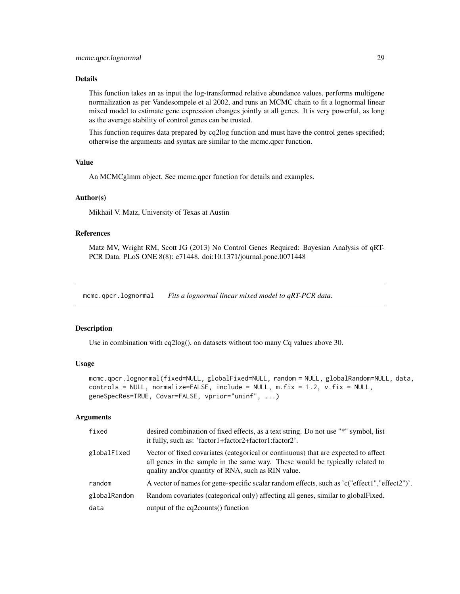# <span id="page-28-0"></span>Details

This function takes an as input the log-transformed relative abundance values, performs multigene normalization as per Vandesompele et al 2002, and runs an MCMC chain to fit a lognormal linear mixed model to estimate gene expression changes jointly at all genes. It is very powerful, as long as the average stability of control genes can be trusted.

This function requires data prepared by cq2log function and must have the control genes specified; otherwise the arguments and syntax are similar to the mcmc.qpcr function.

#### Value

An MCMCglmm object. See mcmc.qpcr function for details and examples.

#### Author(s)

Mikhail V. Matz, University of Texas at Austin

#### References

Matz MV, Wright RM, Scott JG (2013) No Control Genes Required: Bayesian Analysis of qRT-PCR Data. PLoS ONE 8(8): e71448. doi:10.1371/journal.pone.0071448

mcmc.qpcr.lognormal *Fits a lognormal linear mixed model to qRT-PCR data.*

#### Description

Use in combination with cq2log(), on datasets without too many Cq values above 30.

#### Usage

```
mcmc.qpcr.lognormal(fixed=NULL, globalFixed=NULL, random = NULL, globalRandom=NULL, data,
controls = NULL, normalize=FALSE, include = NULL, m.fix = 1.2, v.fix = NULL,
geneSpecRes=TRUE, Covar=FALSE, vprior="uninf", ...)
```

| fixed        | desired combination of fixed effects, as a text string. Do not use "*" symbol, list<br>it fully, such as: 'factor1+factor2+factor1:factor2'.                                                                             |
|--------------|--------------------------------------------------------------------------------------------------------------------------------------------------------------------------------------------------------------------------|
| globalFixed  | Vector of fixed covariates (categorical or continuous) that are expected to affect<br>all genes in the sample in the same way. These would be typically related to<br>quality and/or quantity of RNA, such as RIN value. |
| random       | A vector of names for gene-specific scalar random effects, such as 'c("effect1","effect2")'.                                                                                                                             |
| globalRandom | Random covariates (categorical only) affecting all genes, similar to global Fixed.                                                                                                                                       |
| data         | output of the cq2counts() function                                                                                                                                                                                       |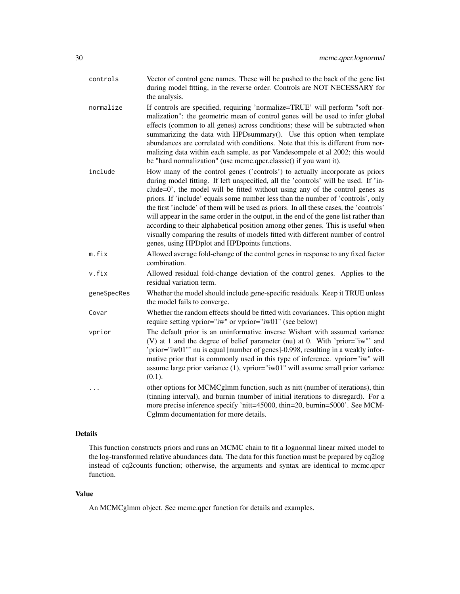- controls Vector of control gene names. These will be pushed to the back of the gene list during model fitting, in the reverse order. Controls are NOT NECESSARY for the analysis.
- normalize If controls are specified, requiring 'normalize=TRUE' will perform "soft normalization": the geometric mean of control genes will be used to infer global effects (common to all genes) across conditions; these will be subtracted when summarizing the data with HPDsummary(). Use this option when template abundances are correlated with conditions. Note that this is different from normalizing data within each sample, as per Vandesompele et al 2002; this would be "hard normalization" (use mcmc.qpcr.classic() if you want it).
- include How many of the control genes ('controls') to actually incorporate as priors during model fitting. If left unspecified, all the 'controls' will be used. If 'include=0', the model will be fitted without using any of the control genes as priors. If 'include' equals some number less than the number of 'controls', only the first 'include' of them will be used as priors. In all these cases, the 'controls' will appear in the same order in the output, in the end of the gene list rather than according to their alphabetical position among other genes. This is useful when visually comparing the results of models fitted with different number of control genes, using HPDplot and HPDpoints functions.
- m.fix Allowed average fold-change of the control genes in response to any fixed factor combination.
- v.fix Allowed residual fold-change deviation of the control genes. Applies to the residual variation term.
- geneSpecRes Whether the model should include gene-specific residuals. Keep it TRUE unless the model fails to converge.
- Covar Whether the random effects should be fitted with covariances. This option might require setting vprior="iw" or vprior="iw01" (see below)
- vprior The default prior is an uninformative inverse Wishart with assumed variance (V) at 1 and the degree of belief parameter (nu) at 0. With 'prior="iw"' and 'prior="iw01"' nu is equal [number of genes]-0.998, resulting in a weakly informative prior that is commonly used in this type of inference. vprior="iw" will assume large prior variance (1), vprior="iw01" will assume small prior variance  $(0.1)$ .
- ... other options for MCMCglmm function, such as nitt (number of iterations), thin (tinning interval), and burnin (number of initial iterations to disregard). For a more precise inference specify 'nitt=45000, thin=20, burnin=5000'. See MCM-Cglmm documentation for more details.

#### Details

This function constructs priors and runs an MCMC chain to fit a lognormal linear mixed model to the log-transformed relative abundances data. The data for this function must be prepared by cq2log instead of cq2counts function; otherwise, the arguments and syntax are identical to mcmc.qpcr function.

#### Value

An MCMCglmm object. See mcmc.qpcr function for details and examples.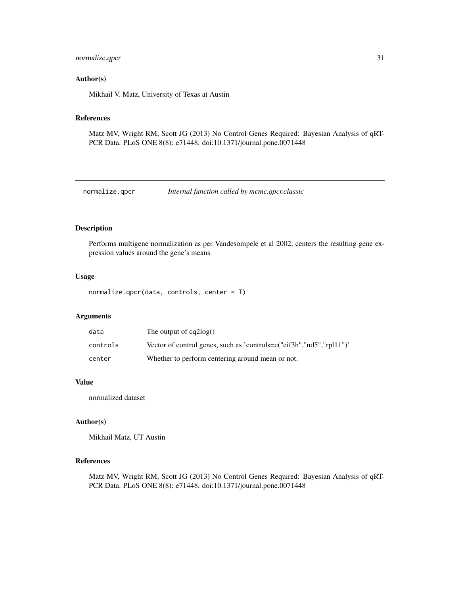# <span id="page-30-0"></span>normalize.qpcr 31

#### Author(s)

Mikhail V. Matz, University of Texas at Austin

#### References

Matz MV, Wright RM, Scott JG (2013) No Control Genes Required: Bayesian Analysis of qRT-PCR Data. PLoS ONE 8(8): e71448. doi:10.1371/journal.pone.0071448

normalize.qpcr *Internal function called by mcmc.qpcr.classic*

# Description

Performs multigene normalization as per Vandesompele et al 2002, centers the resulting gene expression values around the gene's means

# Usage

```
normalize.qpcr(data, controls, center = T)
```
# Arguments

| data     | The output of $cq2log()$                                             |
|----------|----------------------------------------------------------------------|
| controls | Vector of control genes, such as 'controls=c("eif3h","nd5","rpl11")' |
| center   | Whether to perform centering around mean or not.                     |

#### Value

normalized dataset

#### Author(s)

Mikhail Matz, UT Austin

#### References

Matz MV, Wright RM, Scott JG (2013) No Control Genes Required: Bayesian Analysis of qRT-PCR Data. PLoS ONE 8(8): e71448. doi:10.1371/journal.pone.0071448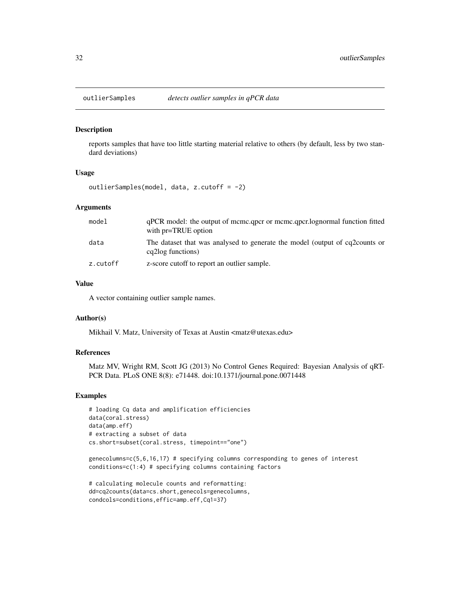<span id="page-31-0"></span>

#### Description

reports samples that have too little starting material relative to others (by default, less by two standard deviations)

# Usage

outlierSamples(model, data, z.cutoff = -2)

#### Arguments

| model    | gPCR model: the output of mcmc.gpcr or mcmc.gpcr.lognormal function fitted<br>with pr=TRUE option |
|----------|---------------------------------------------------------------------------------------------------|
| data     | The dataset that was analysed to generate the model (output of cq2counts or<br>eq2log functions)  |
| z.cutoff | z-score cutoff to report an outlier sample.                                                       |

# Value

A vector containing outlier sample names.

#### Author(s)

Mikhail V. Matz, University of Texas at Austin <matz@utexas.edu>

#### References

Matz MV, Wright RM, Scott JG (2013) No Control Genes Required: Bayesian Analysis of qRT-PCR Data. PLoS ONE 8(8): e71448. doi:10.1371/journal.pone.0071448

#### Examples

```
# loading Cq data and amplification efficiencies
data(coral.stress)
data(amp.eff)
# extracting a subset of data
cs.short=subset(coral.stress, timepoint=="one")
```
genecolumns=c(5,6,16,17) # specifying columns corresponding to genes of interest conditions=c(1:4) # specifying columns containing factors

```
# calculating molecule counts and reformatting:
dd=cq2counts(data=cs.short,genecols=genecolumns,
condcols=conditions,effic=amp.eff,Cq1=37)
```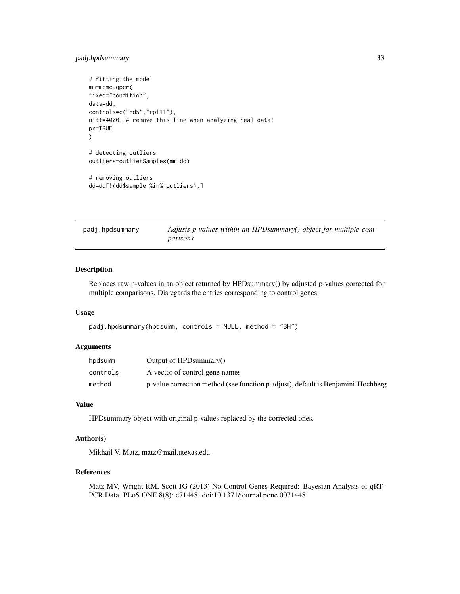# <span id="page-32-0"></span>padj.hpdsummary 33

```
# fitting the model
mm=mcmc.qpcr(
fixed="condition",
data=dd,
controls=c("nd5","rpl11"),
nitt=4000, # remove this line when analyzing real data!
pr=TRUE
\mathcal{L}# detecting outliers
outliers=outlierSamples(mm,dd)
# removing outliers
dd=dd[!(dd$sample %in% outliers),]
```
padj.hpdsummary *Adjusts p-values within an HPDsummary() object for multiple comparisons*

# Description

Replaces raw p-values in an object returned by HPDsummary() by adjusted p-values corrected for multiple comparisons. Disregards the entries corresponding to control genes.

#### Usage

```
padj.hpdsummary(hpdsumm, controls = NULL, method = "BH")
```
# Arguments

| hpdsumm  | Output of HPD summary()                                                          |
|----------|----------------------------------------------------------------------------------|
| controls | A vector of control gene names                                                   |
| method   | p-value correction method (see function p.adjust), default is Benjamini-Hochberg |

# Value

HPDsummary object with original p-values replaced by the corrected ones.

# Author(s)

Mikhail V. Matz, matz@mail.utexas.edu

#### References

Matz MV, Wright RM, Scott JG (2013) No Control Genes Required: Bayesian Analysis of qRT-PCR Data. PLoS ONE 8(8): e71448. doi:10.1371/journal.pone.0071448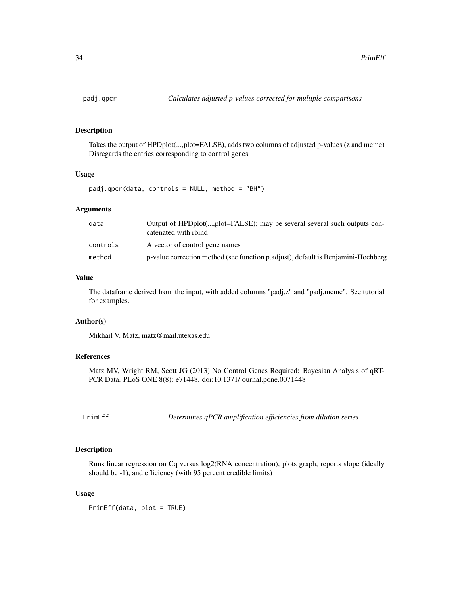<span id="page-33-0"></span>

# Description

Takes the output of HPDplot(...,plot=FALSE), adds two columns of adjusted p-values (z and mcmc) Disregards the entries corresponding to control genes

#### Usage

padj.qpcr(data, controls = NULL, method = "BH")

#### Arguments

| data     | Output of HPDplot(,plot=FALSE); may be several several such outputs con-<br>catenated with rbind |
|----------|--------------------------------------------------------------------------------------------------|
| controls | A vector of control gene names                                                                   |
| method   | p-value correction method (see function p.adjust), default is Benjamini-Hochberg                 |

# Value

The dataframe derived from the input, with added columns "padj.z" and "padj.mcmc". See tutorial for examples.

#### Author(s)

Mikhail V. Matz, matz@mail.utexas.edu

# References

Matz MV, Wright RM, Scott JG (2013) No Control Genes Required: Bayesian Analysis of qRT-PCR Data. PLoS ONE 8(8): e71448. doi:10.1371/journal.pone.0071448

PrimEff *Determines qPCR amplification efficiencies from dilution series*

# Description

Runs linear regression on Cq versus log2(RNA concentration), plots graph, reports slope (ideally should be -1), and efficiency (with 95 percent credible limits)

#### Usage

PrimEff(data, plot = TRUE)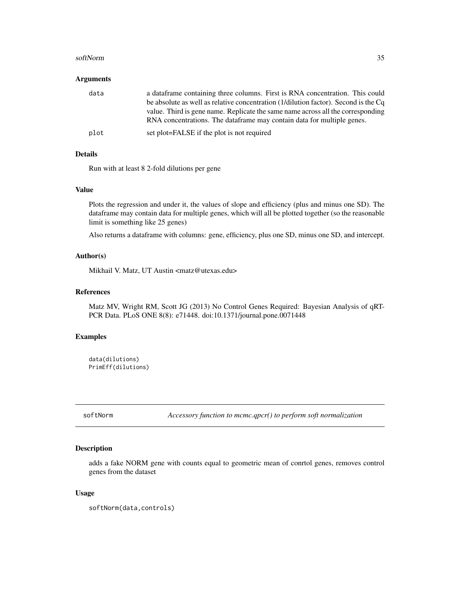#### <span id="page-34-0"></span>softNorm 35

#### Arguments

| data | a data frame containing three columns. First is RNA concentration. This could<br>be absolute as well as relative concentration (1/dilution factor). Second is the Cq |
|------|----------------------------------------------------------------------------------------------------------------------------------------------------------------------|
|      | value. Third is gene name. Replicate the same name across all the corresponding<br>RNA concentrations. The dataframe may contain data for multiple genes.            |
| plot | set plot=FALSE if the plot is not required                                                                                                                           |

#### Details

Run with at least 8 2-fold dilutions per gene

# Value

Plots the regression and under it, the values of slope and efficiency (plus and minus one SD). The dataframe may contain data for multiple genes, which will all be plotted together (so the reasonable limit is something like 25 genes)

Also returns a dataframe with columns: gene, efficiency, plus one SD, minus one SD, and intercept.

# Author(s)

Mikhail V. Matz, UT Austin <matz@utexas.edu>

# References

Matz MV, Wright RM, Scott JG (2013) No Control Genes Required: Bayesian Analysis of qRT-PCR Data. PLoS ONE 8(8): e71448. doi:10.1371/journal.pone.0071448

#### Examples

```
data(dilutions)
PrimEff(dilutions)
```
softNorm *Accessory function to mcmc.qpcr() to perform soft normalization*

# Description

adds a fake NORM gene with counts equal to geometric mean of conrtol genes, removes control genes from the dataset

#### Usage

softNorm(data,controls)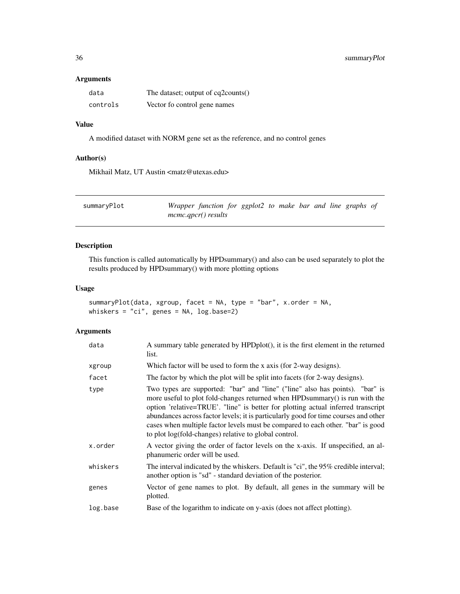# <span id="page-35-0"></span>Arguments

| data     | The dataset; output of cq2counts() |
|----------|------------------------------------|
| controls | Vector fo control gene names       |

# Value

A modified dataset with NORM gene set as the reference, and no control genes

# Author(s)

Mikhail Matz, UT Austin <matz@utexas.edu>

| summaryPlot | Wrapper function for ggplot2 to make bar and line graphs of |  |  |  |  |  |
|-------------|-------------------------------------------------------------|--|--|--|--|--|
|             | $m$ cmc.qpcr() results                                      |  |  |  |  |  |

# Description

This function is called automatically by HPDsummary() and also can be used separately to plot the results produced by HPDsummary() with more plotting options

# Usage

```
summaryPlot(data, xgroup, facet = NA, type = "bar", x.order = NA,
whiskers = "ci", genes = NA, log.base=2)
```

| data     | A summary table generated by HPDplot(), it is the first element in the returned<br>list.                                                                                                                                                                                                                                                                                                                                                                                             |
|----------|--------------------------------------------------------------------------------------------------------------------------------------------------------------------------------------------------------------------------------------------------------------------------------------------------------------------------------------------------------------------------------------------------------------------------------------------------------------------------------------|
| xgroup   | Which factor will be used to form the x axis (for 2-way designs).                                                                                                                                                                                                                                                                                                                                                                                                                    |
| facet    | The factor by which the plot will be split into facets (for 2-way designs).                                                                                                                                                                                                                                                                                                                                                                                                          |
| type     | Two types are supported: "bar" and "line" ("line" also has points). "bar" is<br>more useful to plot fold-changes returned when HPD summary () is run with the<br>option 'relative=TRUE'. "line" is better for plotting actual inferred transcript<br>abundances across factor levels; it is particularly good for time courses and other<br>cases when multiple factor levels must be compared to each other. "bar" is good<br>to plot log(fold-changes) relative to global control. |
| x.order  | A vector giving the order of factor levels on the x-axis. If unspecified, an al-<br>phanumeric order will be used.                                                                                                                                                                                                                                                                                                                                                                   |
| whiskers | The interval indicated by the whiskers. Default is "ci", the 95% credible interval;<br>another option is "sd" - standard deviation of the posterior.                                                                                                                                                                                                                                                                                                                                 |
| genes    | Vector of gene names to plot. By default, all genes in the summary will be<br>plotted.                                                                                                                                                                                                                                                                                                                                                                                               |
| log.base | Base of the logarithm to indicate on y-axis (does not affect plotting).                                                                                                                                                                                                                                                                                                                                                                                                              |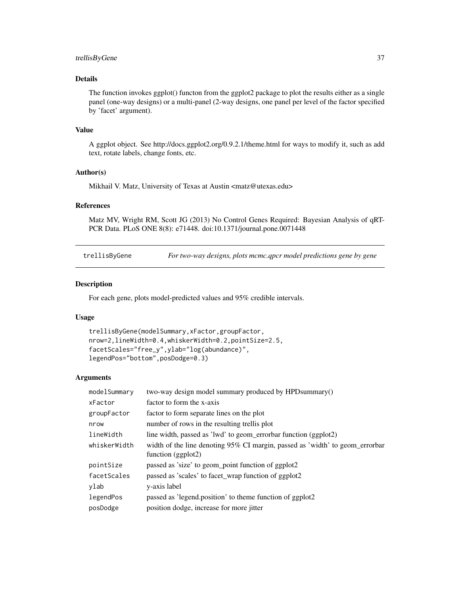# <span id="page-36-0"></span>trellisByGene 37

# Details

The function invokes ggplot() functon from the ggplot2 package to plot the results either as a single panel (one-way designs) or a multi-panel (2-way designs, one panel per level of the factor specified by 'facet' argument).

#### Value

A ggplot object. See http://docs.ggplot2.org/0.9.2.1/theme.html for ways to modify it, such as add text, rotate labels, change fonts, etc.

# Author(s)

Mikhail V. Matz, University of Texas at Austin <matz@utexas.edu>

#### References

Matz MV, Wright RM, Scott JG (2013) No Control Genes Required: Bayesian Analysis of qRT-PCR Data. PLoS ONE 8(8): e71448. doi:10.1371/journal.pone.0071448

trellisByGene *For two-way designs, plots mcmc.qpcr model predictions gene by gene*

# Description

For each gene, plots model-predicted values and 95% credible intervals.

#### Usage

```
trellisByGene(modelSummary,xFactor,groupFactor,
nrow=2,lineWidth=0.4,whiskerWidth=0.2,pointSize=2.5,
facetScales="free_y",ylab="log(abundance)",
legendPos="bottom",posDodge=0.3)
```

| modelSummary | two-way design model summary produced by HPD summary()                                               |
|--------------|------------------------------------------------------------------------------------------------------|
| xFactor      | factor to form the x-axis                                                                            |
| groupFactor  | factor to form separate lines on the plot                                                            |
| nrow         | number of rows in the resulting trellis plot                                                         |
| lineWidth    | line width, passed as 'lwd' to geom_errorbar function (ggplot2)                                      |
| whiskerWidth | width of the line denoting 95% CI margin, passed as 'width' to geom_errorbar<br>function $(ggplot2)$ |
| pointSize    | passed as 'size' to geom_point function of ggplot2                                                   |
| facetScales  | passed as 'scales' to facet_wrap function of ggplot2                                                 |
| ylab         | y-axis label                                                                                         |
| legendPos    | passed as 'legend.position' to theme function of ggplot2                                             |
| posDodge     | position dodge, increase for more jitter                                                             |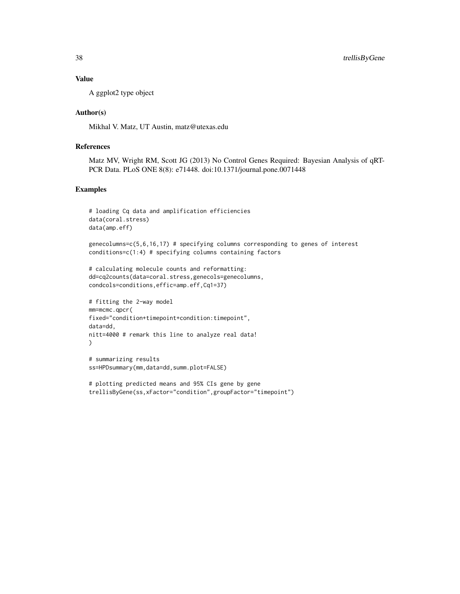# Value

A ggplot2 type object

### Author(s)

Mikhal V. Matz, UT Austin, matz@utexas.edu

# References

Matz MV, Wright RM, Scott JG (2013) No Control Genes Required: Bayesian Analysis of qRT-PCR Data. PLoS ONE 8(8): e71448. doi:10.1371/journal.pone.0071448

### Examples

```
# loading Cq data and amplification efficiencies
data(coral.stress)
data(amp.eff)
```
genecolumns=c(5,6,16,17) # specifying columns corresponding to genes of interest conditions=c(1:4) # specifying columns containing factors

```
# calculating molecule counts and reformatting:
dd=cq2counts(data=coral.stress,genecols=genecolumns,
condcols=conditions,effic=amp.eff,Cq1=37)
```

```
# fitting the 2-way model
mm=mcmc.qpcr(
fixed="condition+timepoint+condition:timepoint",
data=dd,
nitt=4000 # remark this line to analyze real data!
\lambda
```

```
# summarizing results
ss=HPDsummary(mm,data=dd,summ.plot=FALSE)
```

```
# plotting predicted means and 95% CIs gene by gene
trellisByGene(ss,xFactor="condition",groupFactor="timepoint")
```